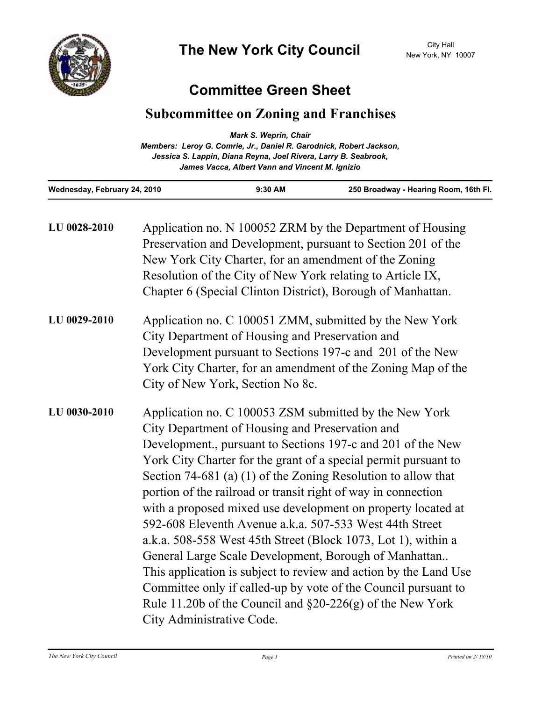

## **Committee Green Sheet**

## **Subcommittee on Zoning and Franchises**

| Wednesday, February 24, 2010 | $9:30$ AM                                                                                                          | 250 Broadway - Hearing Room, 16th Fl. |
|------------------------------|--------------------------------------------------------------------------------------------------------------------|---------------------------------------|
|                              | Jessica S. Lappin, Diana Reyna, Joel Rivera, Larry B. Seabrook,<br>James Vacca, Albert Vann and Vincent M. Ignizio |                                       |
|                              | Members: Leroy G. Comrie, Jr., Daniel R. Garodnick, Robert Jackson,                                                |                                       |
|                              | <b>Mark S. Weprin, Chair</b>                                                                                       |                                       |

| LU 0028-2010 | Application no. N 100052 ZRM by the Department of Housing<br>Preservation and Development, pursuant to Section 201 of the<br>New York City Charter, for an amendment of the Zoning<br>Resolution of the City of New York relating to Article IX,<br>Chapter 6 (Special Clinton District), Borough of Manhattan.                                                                                                                                                                                                                                                                                                                                                                                                                                                                                                                                                         |
|--------------|-------------------------------------------------------------------------------------------------------------------------------------------------------------------------------------------------------------------------------------------------------------------------------------------------------------------------------------------------------------------------------------------------------------------------------------------------------------------------------------------------------------------------------------------------------------------------------------------------------------------------------------------------------------------------------------------------------------------------------------------------------------------------------------------------------------------------------------------------------------------------|
| LU 0029-2010 | Application no. C 100051 ZMM, submitted by the New York<br>City Department of Housing and Preservation and<br>Development pursuant to Sections 197-c and 201 of the New<br>York City Charter, for an amendment of the Zoning Map of the<br>City of New York, Section No 8c.                                                                                                                                                                                                                                                                                                                                                                                                                                                                                                                                                                                             |
| LU 0030-2010 | Application no. C 100053 ZSM submitted by the New York<br>City Department of Housing and Preservation and<br>Development., pursuant to Sections 197-c and 201 of the New<br>York City Charter for the grant of a special permit pursuant to<br>Section 74-681 (a) $(1)$ of the Zoning Resolution to allow that<br>portion of the railroad or transit right of way in connection<br>with a proposed mixed use development on property located at<br>592-608 Eleventh Avenue a.k.a. 507-533 West 44th Street<br>a.k.a. 508-558 West 45th Street (Block 1073, Lot 1), within a<br>General Large Scale Development, Borough of Manhattan<br>This application is subject to review and action by the Land Use<br>Committee only if called-up by vote of the Council pursuant to<br>Rule 11.20b of the Council and $\S20-226(g)$ of the New York<br>City Administrative Code. |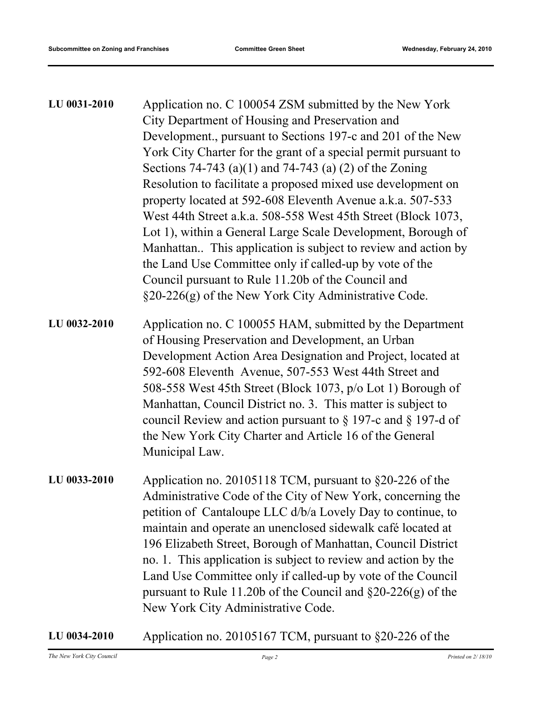| LU 0031-2010 | Application no. C 100054 ZSM submitted by the New York<br>City Department of Housing and Preservation and<br>Development., pursuant to Sections 197-c and 201 of the New<br>York City Charter for the grant of a special permit pursuant to<br>Sections 74-743 (a)(1) and 74-743 (a) (2) of the Zoning<br>Resolution to facilitate a proposed mixed use development on<br>property located at 592-608 Eleventh Avenue a.k.a. 507-533<br>West 44th Street a.k.a. 508-558 West 45th Street (Block 1073,<br>Lot 1), within a General Large Scale Development, Borough of<br>Manhattan This application is subject to review and action by<br>the Land Use Committee only if called-up by vote of the<br>Council pursuant to Rule 11.20b of the Council and<br>§20-226(g) of the New York City Administrative Code. |
|--------------|-----------------------------------------------------------------------------------------------------------------------------------------------------------------------------------------------------------------------------------------------------------------------------------------------------------------------------------------------------------------------------------------------------------------------------------------------------------------------------------------------------------------------------------------------------------------------------------------------------------------------------------------------------------------------------------------------------------------------------------------------------------------------------------------------------------------|
| LU 0032-2010 | Application no. C 100055 HAM, submitted by the Department<br>of Housing Preservation and Development, an Urban<br>Development Action Area Designation and Project, located at<br>592-608 Eleventh Avenue, 507-553 West 44th Street and<br>508-558 West 45th Street (Block 1073, p/o Lot 1) Borough of<br>Manhattan, Council District no. 3. This matter is subject to<br>council Review and action pursuant to $\S$ 197-c and $\S$ 197-d of<br>the New York City Charter and Article 16 of the General<br>Municipal Law.                                                                                                                                                                                                                                                                                        |
| LU 0033-2010 | Application no. 20105118 TCM, pursuant to §20-226 of the<br>Administrative Code of the City of New York, concerning the<br>petition of Cantaloupe LLC d/b/a Lovely Day to continue, to<br>maintain and operate an unenclosed sidewalk café located at<br>196 Elizabeth Street, Borough of Manhattan, Council District<br>no. 1. This application is subject to review and action by the<br>Land Use Committee only if called-up by vote of the Council<br>pursuant to Rule 11.20b of the Council and $\S20-226(g)$ of the<br>New York City Administrative Code.                                                                                                                                                                                                                                                 |

**LU 0034-2010** Application no. 20105167 TCM, pursuant to §20-226 of the